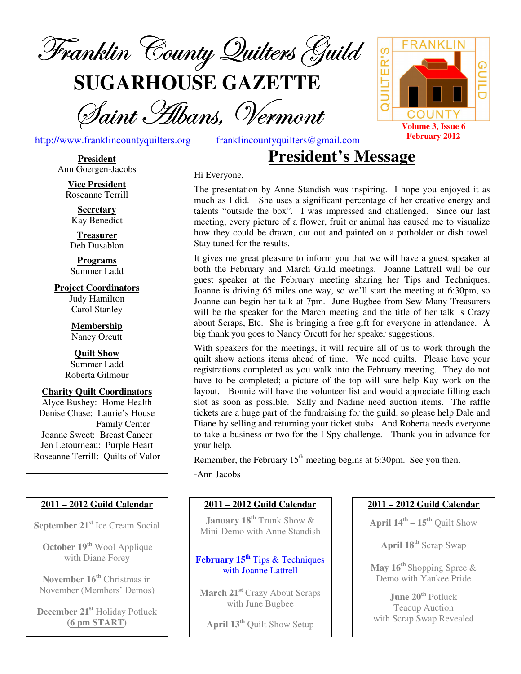

**SUGARHOUSE GAZETTE**

Saint Albans, Vermont

http://www.franklincountyquilters.org franklincountyquilters@gmail.com

**JILTER'S GUILD** COUNT **Volume 3, Issue 6 February 2012**

FRANK

#### Hi Everyone,

The presentation by Anne Standish was inspiring. I hope you enjoyed it as much as I did. She uses a significant percentage of her creative energy and talents "outside the box". I was impressed and challenged. Since our last meeting, every picture of a flower, fruit or animal has caused me to visualize how they could be drawn, cut out and painted on a potholder or dish towel. Stay tuned for the results.

**President's Message**

It gives me great pleasure to inform you that we will have a guest speaker at both the February and March Guild meetings. Joanne Lattrell will be our guest speaker at the February meeting sharing her Tips and Techniques. Joanne is driving 65 miles one way, so we'll start the meeting at 6:30pm, so Joanne can begin her talk at 7pm. June Bugbee from Sew Many Treasurers will be the speaker for the March meeting and the title of her talk is Crazy about Scraps, Etc. She is bringing a free gift for everyone in attendance. A big thank you goes to Nancy Orcutt for her speaker suggestions.

With speakers for the meetings, it will require all of us to work through the quilt show actions items ahead of time. We need quilts. Please have your registrations completed as you walk into the February meeting. They do not have to be completed; a picture of the top will sure help Kay work on the layout. Bonnie will have the volunteer list and would appreciate filling each slot as soon as possible. Sally and Nadine need auction items. The raffle tickets are a huge part of the fundraising for the guild, so please help Dale and Diane by selling and returning your ticket stubs. And Roberta needs everyone to take a business or two for the I Spy challenge. Thank you in advance for your help.

Remember, the February  $15<sup>th</sup>$  meeting begins at 6:30pm. See you then.

-Ann Jacobs

#### **2011 – 2012 Guild Calendar**

**January 18 th** Trunk Show & Mini-Demo with Anne Standish

#### **February 15 th** Tips & Techniques with Joanne Lattrell

**March 21 st** Crazy About Scraps with June Bugbee

**April 13 th** Quilt Show Setup

#### **2011 – 2012 Guild Calendar**

**April 14 th – 15 th** Quilt Show

**April 18 th** Scrap Swap

**May 16 th** Shopping Spree & Demo with Yankee Pride

**June 20 th** Potluck Teacup Auction with Scrap Swap Revealed

**President** Ann Goergen-Jacobs

**Vice President** Roseanne Terrill

**Secretary** Kay Benedict

**Treasurer** Deb Dusablon

**Programs** Summer Ladd

**Project Coordinators** Judy Hamilton Carol Stanley

> **Membership** Nancy Orcutt

**Quilt Show** Summer Ladd Roberta Gilmour

**Charity Quilt Coordinators**

Alyce Bushey: Home Health Denise Chase: Laurie's House Family Center Joanne Sweet: Breast Cancer Jen Letourneau: Purple Heart Roseanne Terrill: Quilts of Valor

#### **2011 – 2012 Guild Calendar**

**September 21 st** Ice Cream Social

**October 19 th** Wool Applique with Diane Forey

**November 16 th** Christmas in November (Members' Demos)

**December 21 st** Holiday Potluck **(6 pm START)**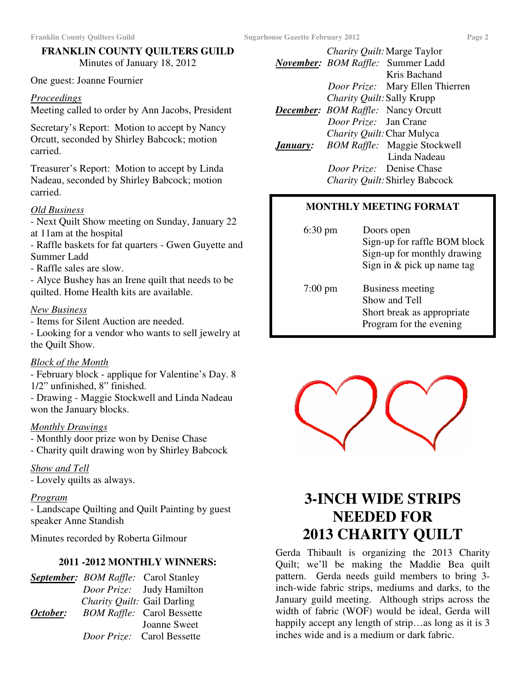# **FRANKLIN COUNTY QUILTERS GUILD** Minutes of January 18, 2012

One guest: Joanne Fournier

#### *Proceedings*

Meeting called to order by Ann Jacobs, President

Secretary's Report: Motion to accept by Nancy Orcutt, seconded by Shirley Babcock; motion carried.

Treasurer's Report: Motion to accept by Linda Nadeau, seconded by Shirley Babcock; motion carried.

# *Old Business*

- Next Quilt Show meeting on Sunday, January 22 at 11am at the hospital

- Raffle baskets for fat quarters - Gwen Guyette and Summer Ladd

- Raffle sales are slow.

- Alyce Bushey has an Irene quilt that needs to be quilted. Home Health kits are available.

#### *New Business*

- Items for Silent Auction are needed.

- Looking for a vendor who wants to sell jewelry at the Quilt Show.

# *Block of the Month*

- February block - applique for Valentine's Day. 8 1/2" unfinished, 8" finished.

- Drawing - Maggie Stockwell and Linda Nadeau won the January blocks.

# *Monthly Drawings*

- Monthly door prize won by Denise Chase - Charity quilt drawing won by Shirley Babcock

*Show and Tell*

- Lovely quilts as always.

#### *Program*

- Landscape Quilting and Quilt Painting by guest speaker Anne Standish

Minutes recorded by Roberta Gilmour

# **2011 -2012 MONTHLY WINNERS:**

|          | <b>September:</b> BOM Raffle: Carol Stanley |                                   |
|----------|---------------------------------------------|-----------------------------------|
|          |                                             | <i>Door Prize:</i> Judy Hamilton  |
|          | Charity Quilt: Gail Darling                 |                                   |
| October: |                                             | <b>BOM Raffle:</b> Carol Bessette |
|          |                                             | Joanne Sweet                      |
|          |                                             | <i>Door Prize:</i> Carol Bessette |

*Charity Quilt:*Marge Taylor *November: BOM Raffle:* Summer Ladd Kris Bachand *Door Prize:* Mary Ellen Thierren *Charity Quilt:*Sally Krupp *December: BOM Raffle:* Nancy Orcutt *Door Prize:* Jan Crane *Charity Quilt:*Char Mulyca *January: BOM Raffle:* Maggie Stockwell Linda Nadeau *Door Prize:* Denise Chase *Charity Quilt:*Shirley Babcock

# **MONTHLY MEETING FORMAT**

| $6:30 \text{ pm}$ | Doors open<br>Sign-up for raffle BOM block<br>Sign-up for monthly drawing<br>Sign in $&$ pick up name tag |
|-------------------|-----------------------------------------------------------------------------------------------------------|
| $7:00 \text{ pm}$ | Business meeting<br>Show and Tell<br>Short break as appropriate<br>Program for the evening                |



# **3-INCH WIDE STRIPS NEEDED FOR 2013 CHARITY QUILT**

Gerda Thibault is organizing the 2013 Charity Quilt; we'll be making the Maddie Bea quilt pattern. Gerda needs guild members to bring 3 inch-wide fabric strips, mediums and darks, to the January guild meeting. Although strips across the width of fabric (WOF) would be ideal, Gerda will happily accept any length of strip…as long as it is 3 inches wide and is a medium or dark fabric.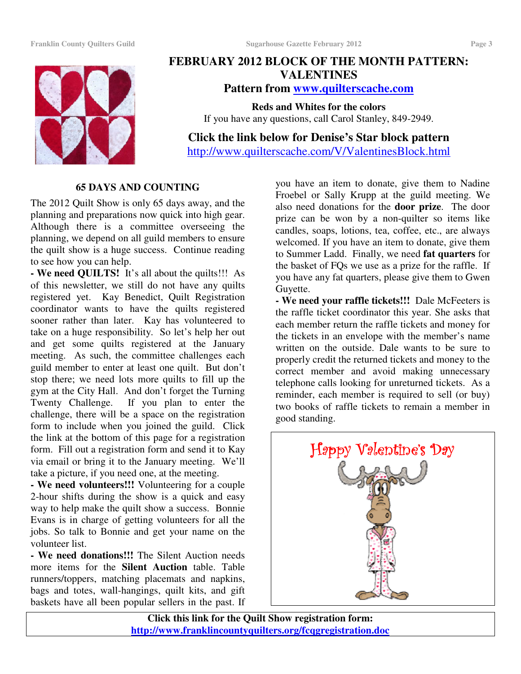

# **FEBRUARY 2012 BLOCK OF THE MONTH PATTERN: VALENTINES**

**Pattern from www.quilterscache.com**

**Reds and Whites for the colors** If you have any questions, call Carol Stanley, 849-2949.

**Click the link below for Denise's Star block pattern** http://www.quilterscache.com/V/ValentinesBlock.html

# **65 DAYS AND COUNTING**

The 2012 Quilt Show is only 65 days away, and the planning and preparations now quick into high gear. Although there is a committee overseeing the planning, we depend on all guild members to ensure the quilt show is a huge success. Continue reading to see how you can help.

**- We need QUILTS!** It's all about the quilts!!! As of this newsletter, we still do not have any quilts registered yet. Kay Benedict, Quilt Registration coordinator wants to have the quilts registered sooner rather than later. Kay has volunteered to take on a huge responsibility. So let's help her out and get some quilts registered at the January meeting. As such, the committee challenges each guild member to enter at least one quilt. But don't stop there; we need lots more quilts to fill up the gym at the City Hall. And don't forget the Turning Twenty Challenge. If you plan to enter the challenge, there will be a space on the registration form to include when you joined the guild. Click the link at the bottom of this page for a registration form. Fill out a registration form and send it to Kay via email or bring it to the January meeting. We'll take a picture, if you need one, at the meeting.

**- We need volunteers!!!** Volunteering for a couple 2-hour shifts during the show is a quick and easy way to help make the quilt show a success. Bonnie Evans is in charge of getting volunteers for all the jobs. So talk to Bonnie and get your name on the volunteer list.

**- We need donations!!!** The Silent Auction needs more items for the **Silent Auction** table. Table runners/toppers, matching placemats and napkins, bags and totes, wall-hangings, quilt kits, and gift baskets have all been popular sellers in the past. If

you have an item to donate, give them to Nadine Froebel or Sally Krupp at the guild meeting. We also need donations for the **door prize**. The door prize can be won by a non-quilter so items like candles, soaps, lotions, tea, coffee, etc., are always welcomed. If you have an item to donate, give them to Summer Ladd. Finally, we need **fat quarters** for the basket of FQs we use as a prize for the raffle. If you have any fat quarters, please give them to Gwen Guyette.

**- We need your raffle tickets!!!** Dale McFeeters is the raffle ticket coordinator this year. She asks that each member return the raffle tickets and money for the tickets in an envelope with the member's name written on the outside. Dale wants to be sure to properly credit the returned tickets and money to the correct member and avoid making unnecessary telephone calls looking for unreturned tickets. As a reminder, each member is required to sell (or buy) two books of raffle tickets to remain a member in good standing.



**Click this link for the Quilt Show registration form: http://www.franklincountyquilters.org/fcqgregistration.doc**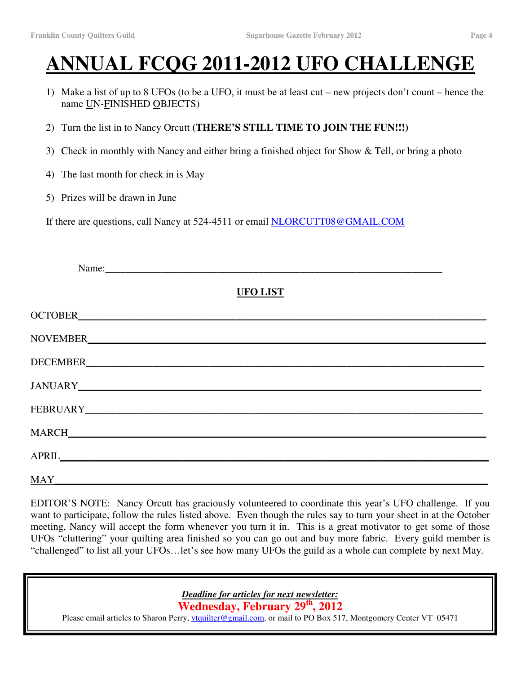# **ANNUAL FCQG 2011-2012 UFO CHALLENGE**

- 1) Make a list of up to 8 UFOs (to be a UFO, it must be at least cut new projects don't count hence the name UN-FINISHED OBJECTS)
- 2) Turn the list in to Nancy Orcutt **(THERE'S STILL TIME TO JOIN THE FUN!!!)**
- 3) Check in monthly with Nancy and either bring a finished object for Show & Tell, or bring a photo
- 4) The last month for check in is May
- 5) Prizes will be drawn in June

If there are questions, call Nancy at 524-4511 or email NLORCUTT08@GMAIL.COM

| Name:                |  |
|----------------------|--|
| <b>UFO LIST</b>      |  |
|                      |  |
|                      |  |
|                      |  |
|                      |  |
|                      |  |
|                      |  |
|                      |  |
| $\operatorname{MAY}$ |  |

EDITOR'S NOTE: Nancy Orcutt has graciously volunteered to coordinate this year's UFO challenge. If you want to participate, follow the rules listed above. Even though the rules say to turn your sheet in at the October meeting, Nancy will accept the form whenever you turn it in. This is a great motivator to get some of those UFOs "cluttering" your quilting area finished so you can go out and buy more fabric. Every guild member is "challenged" to list all your UFOs…let's see how many UFOs the guild as a whole can complete by next May.

*Deadline for articles for next newsletter:*

**Wednesday, February 29 th , 2012**

Please email articles to Sharon Perry, *vtquilter@gmail.com*, or mail to PO Box 517, Montgomery Center VT 05471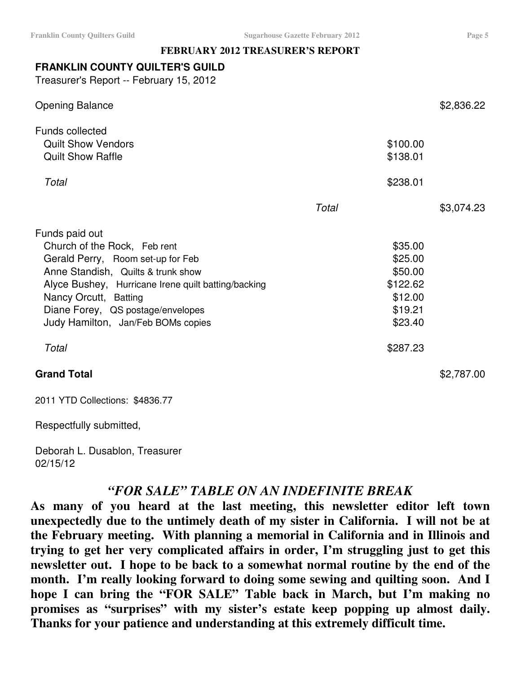# **FEBRUARY 2012 TREASURER'S REPORT**

# **FRANKLIN COUNTY QUILTER'S GUILD**

Treasurer's Report -- February 15, 2012

| <b>Grand Total</b>                                  |       |          | \$2,787.00 |
|-----------------------------------------------------|-------|----------|------------|
| Total                                               |       | \$287.23 |            |
| Judy Hamilton, Jan/Feb BOMs copies                  |       | \$23.40  |            |
| Diane Forey, QS postage/envelopes                   |       | \$19.21  |            |
| Nancy Orcutt, Batting                               |       | \$12.00  |            |
| Alyce Bushey, Hurricane Irene quilt batting/backing |       | \$122.62 |            |
| Anne Standish, Quilts & trunk show                  |       | \$50.00  |            |
| Gerald Perry, Room set-up for Feb                   |       | \$25.00  |            |
| Church of the Rock, Feb rent                        |       | \$35.00  |            |
| Funds paid out                                      |       |          |            |
|                                                     | Total |          | \$3,074.23 |
| Total                                               |       | \$238.01 |            |
|                                                     |       |          |            |
| <b>Quilt Show Raffle</b>                            |       | \$138.01 |            |
| <b>Quilt Show Vendors</b>                           |       | \$100.00 |            |
| <b>Funds collected</b>                              |       |          |            |
| <b>Opening Balance</b>                              |       |          | \$2,836.22 |

2011 YTD Collections: \$4836.77

Respectfully submitted,

Deborah L. Dusablon, Treasurer 02/15/12

# *"FOR SALE" TABLE ON AN INDEFINITE BREAK*

**As many of you heard at the last meeting, this newsletter editor left town unexpectedly due to the untimely death of my sister in California. I will not be at the February meeting. With planning a memorial in California and in Illinois and trying to get her very complicated affairs in order, I'm struggling just to get this newsletter out. I hope to be back to a somewhat normal routine by the end of the month. I'm really looking forward to doing some sewing and quilting soon. And I hope I can bring the "FOR SALE" Table back in March, but I'm making no promises as "surprises" with my sister's estate keep popping up almost daily. Thanks for your patience and understanding at this extremely difficult time.**